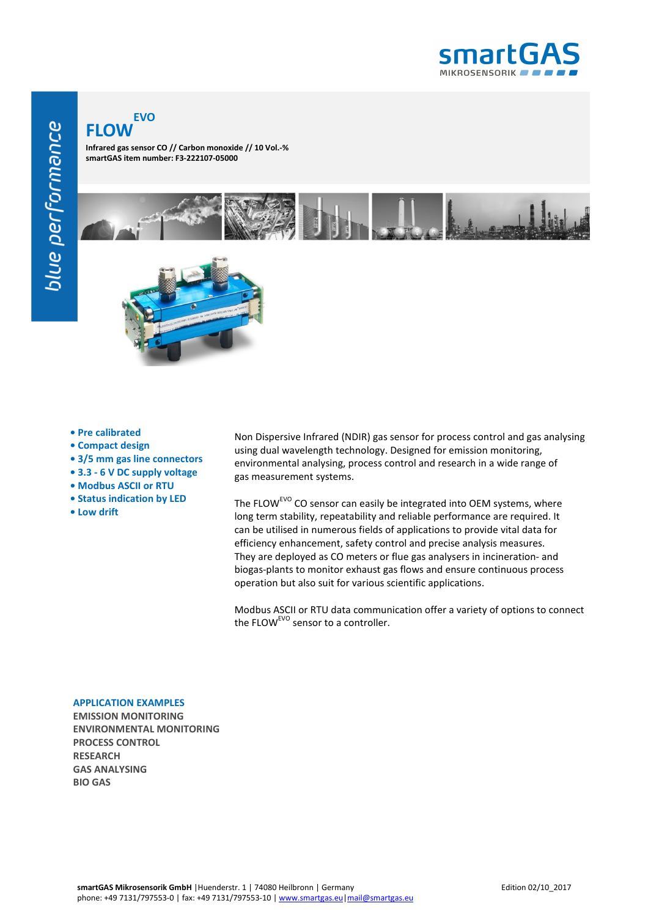

## **FLOW EVO**

**Infrared gas sensor CO // Carbon monoxide // 10 Vol.-% smartGAS item number: F3-222107-05000**



- **Pre calibrated**
- **Compact design**
- **3/5 mm gas line connectors**
- **3.3 6 V DC supply voltage**
- **Modbus ASCII or RTU**
- **Status indication by LED**
- **Low drift**

Non Dispersive Infrared (NDIR) gas sensor for process control and gas analysing using dual wavelength technology. Designed for emission monitoring, environmental analysing, process control and research in a wide range of gas measurement systems.

The FLOW<sup>EVO</sup> CO sensor can easily be integrated into OEM systems, where long term stability, repeatability and reliable performance are required. It can be utilised in numerous fields of applications to provide vital data for efficiency enhancement, safety control and precise analysis measures. They are deployed as CO meters or flue gas analysers in incineration- and biogas-plants to monitor exhaust gas flows and ensure continuous process operation but also suit for various scientific applications.

Modbus ASCII or RTU data communication offer a variety of options to connect the FLOW<sup>EVO</sup> sensor to a controller.

## **APPLICATION EXAMPLES**

**EMISSION MONITORING ENVIRONMENTAL MONITORING PROCESS CONTROL RESEARCH GAS ANALYSING BIO GAS**